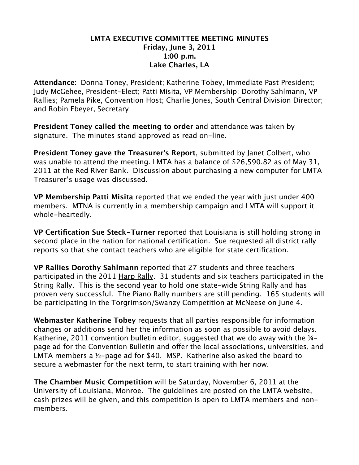## **LMTA EXECUTIVE COMMITTEE MEETING MINUTES Friday, June 3, 2011 1:00 p.m. Lake Charles, LA**

**Attendance:** Donna Toney, President; Katherine Tobey, Immediate Past President; Judy McGehee, President-Elect; Patti Misita, VP Membership; Dorothy Sahlmann, VP Rallies; Pamela Pike, Convention Host; Charlie Jones, South Central Division Director; and Robin Ebeyer, Secretary

**President Toney called the meeting to order** and attendance was taken by signature. The minutes stand approved as read on-line.

**President Toney gave the Treasurer's Report**, submitted by Janet Colbert, who was unable to attend the meeting. LMTA has a balance of \$26,590.82 as of May 31, 2011 at the Red River Bank. Discussion about purchasing a new computer for LMTA Treasurer's usage was discussed.

**VP Membership Patti Misita** reported that we ended the year with just under 400 members. MTNA is currently in a membership campaign and LMTA will support it whole-heartedly.

**VP Certification Sue Steck-Turner** reported that Louisiana is still holding strong in second place in the nation for national certification. Sue requested all district rally reports so that she contact teachers who are eligible for state certification.

**VP Rallies Dorothy Sahlmann** reported that 27 students and three teachers participated in the 2011 Harp Rally. 31 students and six teachers participated in the String Rally. This is the second year to hold one state-wide String Rally and has proven very successful. The Piano Rally numbers are still pending. 165 students will be participating in the Torgrimson/Swanzy Competition at McNeese on June 4.

**Webmaster Katherine Tobey** requests that all parties responsible for information changes or additions send her the information as soon as possible to avoid delays. Katherine, 2011 convention bulletin editor, suggested that we do away with the  $\frac{1}{4}$ page ad for the Convention Bulletin and offer the local associations, universities, and LMTA members a ½-page ad for \$40. MSP. Katherine also asked the board to secure a webmaster for the next term, to start training with her now.

**The Chamber Music Competition** will be Saturday, November 6, 2011 at the University of Louisiana, Monroe. The guidelines are posted on the LMTA website, cash prizes will be given, and this competition is open to LMTA members and nonmembers.